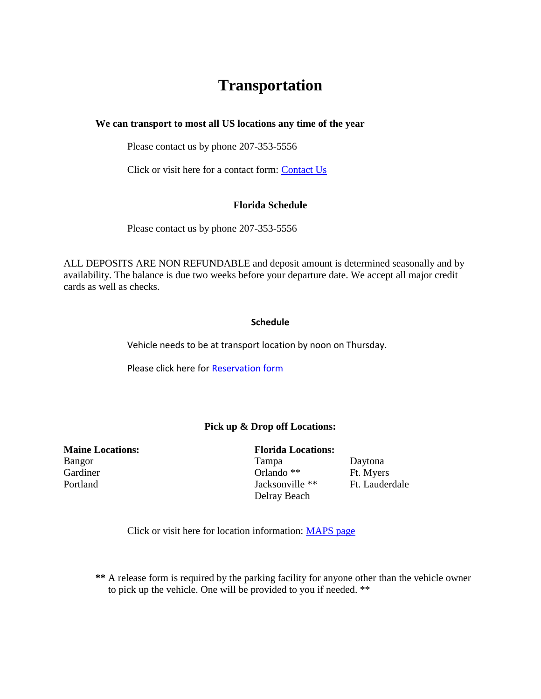# **Transportation**

**We can transport to most all US locations any time of the year** 

Please contact us by phone 207-353-5556

Click or visit here for a contact form: [Contact Us](http://craftstransport.com/contactform.htm)

### **Florida Schedule**

Please contact us by phone 207-353-5556

ALL DEPOSITS ARE NON REFUNDABLE and deposit amount is determined seasonally and by availability. The balance is due two weeks before your departure date. We accept all major credit cards as well as checks.

### **Schedule**

Vehicle needs to be at transport location by noon on Thursday.

Please click here fo[r Reservation form](http://craftstransport.com/reserveforms.html)

# **Pick up & Drop off Locations:**

**Maine Locations:** Florida Locations: Gardiner Caroline Changes Critical Changes Critical Changes Critical Changes Ft. Myers Portland Jacksonville \*\* Ft. Lauderdale

Bangor Tampa Daytona

Delray Beach

Click or visit here for location information: [MAPS page](http://craftstransport.com/maps.html)

**\*\*** A release form is required by the parking facility for anyone other than the vehicle owner to pick up the vehicle. One will be provided to you if needed. \*\*